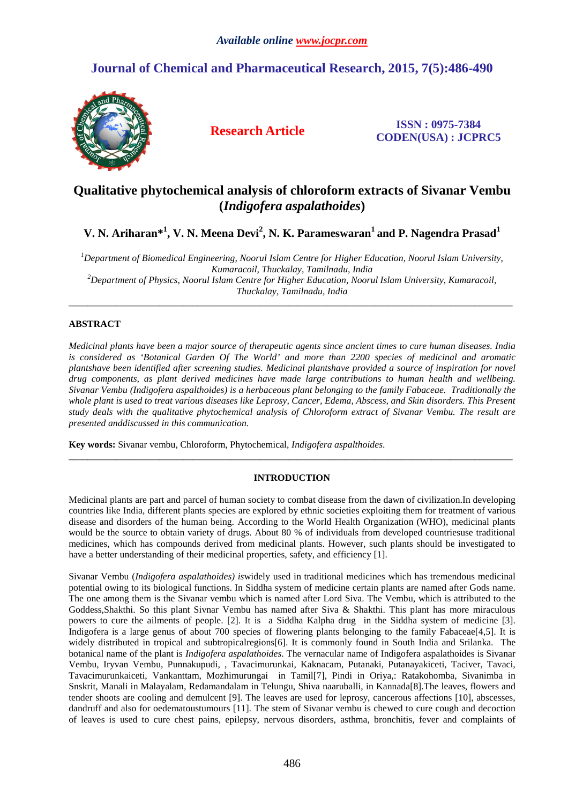# **Journal of Chemical and Pharmaceutical Research, 2015, 7(5):486-490**



**Research Article ISSN : 0975-7384 CODEN(USA) : JCPRC5**

# **Qualitative phytochemical analysis of chloroform extracts of Sivanar Vembu (***Indigofera aspalathoides***)**

# **V. N. Ariharan\*<sup>1</sup> , V. N. Meena Devi<sup>2</sup> , N. K. Parameswaran<sup>1</sup>and P. Nagendra Prasad<sup>1</sup>**

*<sup>1</sup>Department of Biomedical Engineering, Noorul Islam Centre for Higher Education, Noorul Islam University, Kumaracoil, Thuckalay, Tamilnadu, India <sup>2</sup>Department of Physics, Noorul Islam Centre for Higher Education, Noorul Islam University, Kumaracoil, Thuckalay, Tamilnadu, India* 

\_\_\_\_\_\_\_\_\_\_\_\_\_\_\_\_\_\_\_\_\_\_\_\_\_\_\_\_\_\_\_\_\_\_\_\_\_\_\_\_\_\_\_\_\_\_\_\_\_\_\_\_\_\_\_\_\_\_\_\_\_\_\_\_\_\_\_\_\_\_\_\_\_\_\_\_\_\_\_\_\_\_\_\_\_\_\_\_\_\_\_\_\_

# **ABSTRACT**

*Medicinal plants have been a major source of therapeutic agents since ancient times to cure human diseases. India is considered as 'Botanical Garden Of The World' and more than 2200 species of medicinal and aromatic plantshave been identified after screening studies. Medicinal plantshave provided a source of inspiration for novel drug components, as plant derived medicines have made large contributions to human health and wellbeing. Sivanar Vembu (Indigofera aspalthoides) is a herbaceous plant belonging to the family Fabaceae. Traditionally the whole plant is used to treat various diseases like Leprosy, Cancer, Edema, Abscess, and Skin disorders. This Present study deals with the qualitative phytochemical analysis of Chloroform extract of Sivanar Vembu. The result are presented anddiscussed in this communication.* 

**Key words:** Sivanar vembu, Chloroform, Phytochemical, *Indigofera aspalthoides*.

# **INTRODUCTION**

\_\_\_\_\_\_\_\_\_\_\_\_\_\_\_\_\_\_\_\_\_\_\_\_\_\_\_\_\_\_\_\_\_\_\_\_\_\_\_\_\_\_\_\_\_\_\_\_\_\_\_\_\_\_\_\_\_\_\_\_\_\_\_\_\_\_\_\_\_\_\_\_\_\_\_\_\_\_\_\_\_\_\_\_\_\_\_\_\_\_\_\_\_

Medicinal plants are part and parcel of human society to combat disease from the dawn of civilization.In developing countries like India, different plants species are explored by ethnic societies exploiting them for treatment of various disease and disorders of the human being. According to the World Health Organization (WHO), medicinal plants would be the source to obtain variety of drugs. About 80 % of individuals from developed countriesuse traditional medicines, which has compounds derived from medicinal plants. However, such plants should be investigated to have a better understanding of their medicinal properties, safety, and efficiency [1].

Sivanar Vembu (*Indigofera aspalathoides) is*widely used in traditional medicines which has tremendous medicinal potential owing to its biological functions. In Siddha system of medicine certain plants are named after Gods name. The one among them is the Sivanar vembu which is named after Lord Siva. The Vembu, which is attributed to the Goddess,Shakthi. So this plant Sivnar Vembu has named after Siva & Shakthi. This plant has more miraculous powers to cure the ailments of people. [2]. It is a Siddha Kalpha drug in the Siddha system of medicine [3]. Indigofera is a large genus of about 700 species of flowering plants belonging to the family Fabaceae[4,5]. It is widely distributed in tropical and subtropicalregions[6]. It is commonly found in South India and Srilanka. The botanical name of the plant is *Indigofera aspalathoides*. The vernacular name of Indigofera aspalathoides is Sivanar Vembu, Iryvan Vembu, Punnakupudi, , Tavacimurunkai, Kaknacam, Putanaki, Putanayakiceti, Taciver, Tavaci, Tavacimurunkaiceti, Vankanttam, Mozhimurungai in Tamil[7], Pindi in Oriya,: Ratakohomba, Sivanimba in Snskrit, Manali in Malayalam, Redamandalam in Telungu, Shiva naaruballi, in Kannada[8].The leaves, flowers and tender shoots are cooling and demulcent [9]. The leaves are used for leprosy, cancerous affections [10], abscesses, dandruff and also for oedematoustumours [11]. The stem of Sivanar vembu is chewed to cure cough and decoction of leaves is used to cure chest pains, epilepsy, nervous disorders, asthma, bronchitis, fever and complaints of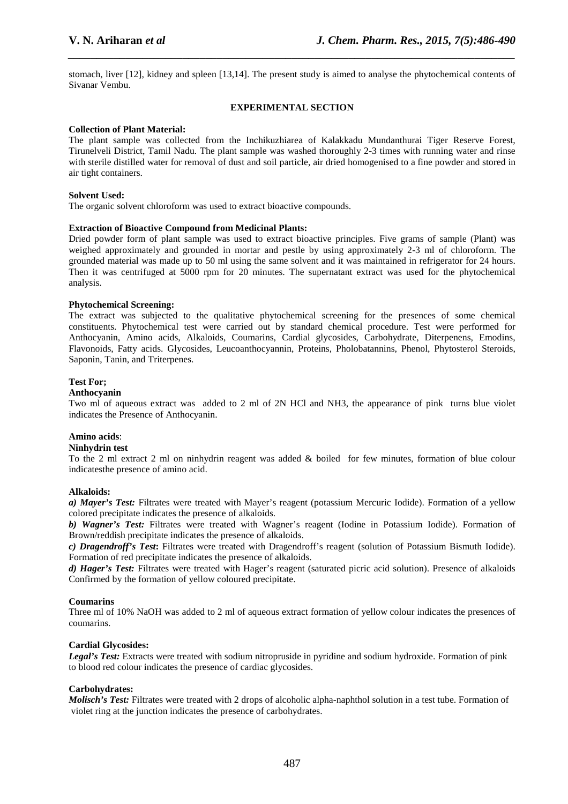stomach, liver [12], kidney and spleen [13,14]. The present study is aimed to analyse the phytochemical contents of Sivanar Vembu.

*\_\_\_\_\_\_\_\_\_\_\_\_\_\_\_\_\_\_\_\_\_\_\_\_\_\_\_\_\_\_\_\_\_\_\_\_\_\_\_\_\_\_\_\_\_\_\_\_\_\_\_\_\_\_\_\_\_\_\_\_\_\_\_\_\_\_\_\_\_\_\_\_\_\_\_\_\_\_*

# **EXPERIMENTAL SECTION**

# **Collection of Plant Material:**

The plant sample was collected from the Inchikuzhiarea of Kalakkadu Mundanthurai Tiger Reserve Forest, Tirunelveli District, Tamil Nadu. The plant sample was washed thoroughly 2-3 times with running water and rinse with sterile distilled water for removal of dust and soil particle, air dried homogenised to a fine powder and stored in air tight containers.

### **Solvent Used:**

The organic solvent chloroform was used to extract bioactive compounds.

# **Extraction of Bioactive Compound from Medicinal Plants:**

Dried powder form of plant sample was used to extract bioactive principles. Five grams of sample (Plant) was weighed approximately and grounded in mortar and pestle by using approximately 2-3 ml of chloroform. The grounded material was made up to 50 ml using the same solvent and it was maintained in refrigerator for 24 hours. Then it was centrifuged at 5000 rpm for 20 minutes. The supernatant extract was used for the phytochemical analysis.

# **Phytochemical Screening:**

The extract was subjected to the qualitative phytochemical screening for the presences of some chemical constituents. Phytochemical test were carried out by standard chemical procedure. Test were performed for Anthocyanin, Amino acids, Alkaloids, Coumarins, Cardial glycosides, Carbohydrate, Diterpenens, Emodins, Flavonoids, Fatty acids. Glycosides, Leucoanthocyannin, Proteins, Pholobatannins, Phenol, Phytosterol Steroids, Saponin, Tanin, and Triterpenes.

# **Test For;**

# **Anthocyanin**

Two ml of aqueous extract was added to 2 ml of 2N HCl and NH3, the appearance of pink turns blue violet indicates the Presence of Anthocyanin.

# **Amino acids**:

# **Ninhydrin test**

To the 2 ml extract 2 ml on ninhydrin reagent was added & boiled for few minutes, formation of blue colour indicatesthe presence of amino acid.

### **Alkaloids:**

*a) Mayer's Test:* Filtrates were treated with Mayer's reagent (potassium Mercuric Iodide). Formation of a yellow colored precipitate indicates the presence of alkaloids.

*b) Wagner's Test:* Filtrates were treated with Wagner's reagent (Iodine in Potassium Iodide). Formation of Brown/reddish precipitate indicates the presence of alkaloids.

*c) Dragendroff's Test***:** Filtrates were treated with Dragendroff's reagent (solution of Potassium Bismuth Iodide). Formation of red precipitate indicates the presence of alkaloids.

*d) Hager's Test:* Filtrates were treated with Hager's reagent (saturated picric acid solution). Presence of alkaloids Confirmed by the formation of yellow coloured precipitate.

#### **Coumarins**

Three ml of 10% NaOH was added to 2 ml of aqueous extract formation of yellow colour indicates the presences of coumarins.

# **Cardial Glycosides:**

*Legal's Test:* Extracts were treated with sodium nitropruside in pyridine and sodium hydroxide. Formation of pink to blood red colour indicates the presence of cardiac glycosides.

#### **Carbohydrates:**

*Molisch's Test:* Filtrates were treated with 2 drops of alcoholic alpha-naphthol solution in a test tube. Formation of violet ring at the junction indicates the presence of carbohydrates.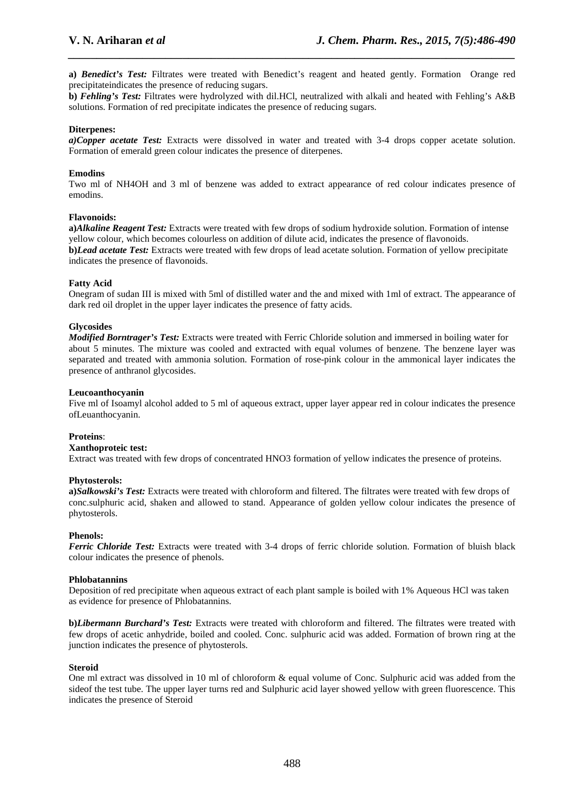**a)** *Benedict's Test:* Filtrates were treated with Benedict's reagent and heated gently. Formation Orange red precipitateindicates the presence of reducing sugars.

*\_\_\_\_\_\_\_\_\_\_\_\_\_\_\_\_\_\_\_\_\_\_\_\_\_\_\_\_\_\_\_\_\_\_\_\_\_\_\_\_\_\_\_\_\_\_\_\_\_\_\_\_\_\_\_\_\_\_\_\_\_\_\_\_\_\_\_\_\_\_\_\_\_\_\_\_\_\_*

**b)** *Fehling's Test:* Filtrates were hydrolyzed with dil.HCl, neutralized with alkali and heated with Fehling's A&B solutions. Formation of red precipitate indicates the presence of reducing sugars.

# **Diterpenes:**

*a)Copper acetate Test:* Extracts were dissolved in water and treated with 3-4 drops copper acetate solution. Formation of emerald green colour indicates the presence of diterpenes.

### **Emodins**

Two ml of NH4OH and 3 ml of benzene was added to extract appearance of red colour indicates presence of emodins.

#### **Flavonoids:**

**a)***Alkaline Reagent Test:* Extracts were treated with few drops of sodium hydroxide solution. Formation of intense yellow colour, which becomes colourless on addition of dilute acid, indicates the presence of flavonoids. **b)***Lead acetate Test:* Extracts were treated with few drops of lead acetate solution. Formation of yellow precipitate indicates the presence of flavonoids.

# **Fatty Acid**

Onegram of sudan III is mixed with 5ml of distilled water and the and mixed with 1ml of extract. The appearance of dark red oil droplet in the upper layer indicates the presence of fatty acids.

# **Glycosides**

*Modified Borntrager's Test:* Extracts were treated with Ferric Chloride solution and immersed in boiling water for about 5 minutes. The mixture was cooled and extracted with equal volumes of benzene. The benzene layer was separated and treated with ammonia solution. Formation of rose-pink colour in the ammonical layer indicates the presence of anthranol glycosides.

# **Leucoanthocyanin**

Five ml of Isoamyl alcohol added to 5 ml of aqueous extract, upper layer appear red in colour indicates the presence ofLeuanthocyanin.

# **Proteins**:

#### **Xanthoproteic test:**

Extract was treated with few drops of concentrated HNO3 formation of yellow indicates the presence of proteins.

#### **Phytosterols:**

**a)***Salkowski's Test:* Extracts were treated with chloroform and filtered. The filtrates were treated with few drops of conc.sulphuric acid, shaken and allowed to stand. Appearance of golden yellow colour indicates the presence of phytosterols.

#### **Phenols:**

*Ferric Chloride Test:* Extracts were treated with 3-4 drops of ferric chloride solution. Formation of bluish black colour indicates the presence of phenols.

#### **Phlobatannins**

Deposition of red precipitate when aqueous extract of each plant sample is boiled with 1% Aqueous HCl was taken as evidence for presence of Phlobatannins.

**b)***Libermann Burchard's Test:* Extracts were treated with chloroform and filtered. The filtrates were treated with few drops of acetic anhydride, boiled and cooled. Conc. sulphuric acid was added. Formation of brown ring at the junction indicates the presence of phytosterols.

#### **Steroid**

One ml extract was dissolved in 10 ml of chloroform & equal volume of Conc. Sulphuric acid was added from the sideof the test tube. The upper layer turns red and Sulphuric acid layer showed yellow with green fluorescence. This indicates the presence of Steroid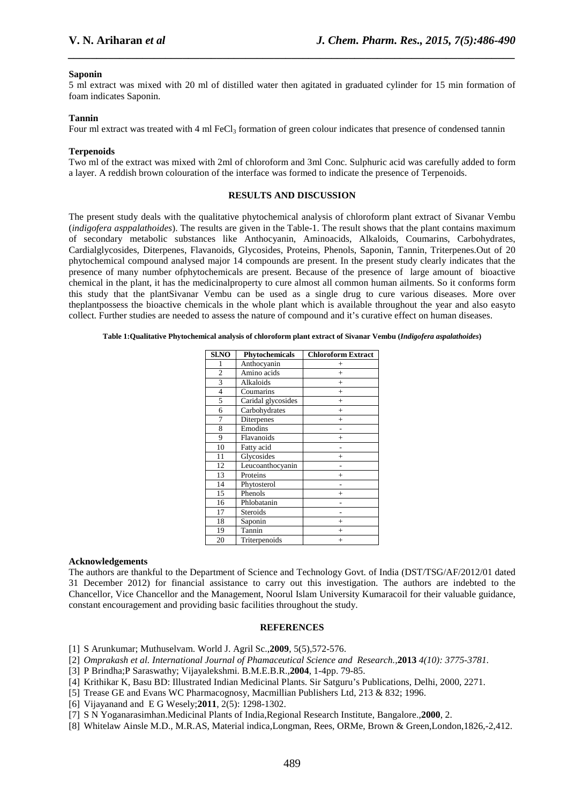# **Saponin**

5 ml extract was mixed with 20 ml of distilled water then agitated in graduated cylinder for 15 min formation of foam indicates Saponin.

*\_\_\_\_\_\_\_\_\_\_\_\_\_\_\_\_\_\_\_\_\_\_\_\_\_\_\_\_\_\_\_\_\_\_\_\_\_\_\_\_\_\_\_\_\_\_\_\_\_\_\_\_\_\_\_\_\_\_\_\_\_\_\_\_\_\_\_\_\_\_\_\_\_\_\_\_\_\_*

#### **Tannin**

Four ml extract was treated with 4 ml  $FeCl<sub>3</sub>$  formation of green colour indicates that presence of condensed tannin

#### **Terpenoids**

Two ml of the extract was mixed with 2ml of chloroform and 3ml Conc. Sulphuric acid was carefully added to form a layer. A reddish brown colouration of the interface was formed to indicate the presence of Terpenoids.

#### **RESULTS AND DISCUSSION**

The present study deals with the qualitative phytochemical analysis of chloroform plant extract of Sivanar Vembu (*indigofera asppalathoides*). The results are given in the Table-1. The result shows that the plant contains maximum of secondary metabolic substances like Anthocyanin, Aminoacids, Alkaloids, Coumarins, Carbohydrates, Cardialglycosides, Diterpenes, Flavanoids, Glycosides, Proteins, Phenols, Saponin, Tannin, Triterpenes.Out of 20 phytochemical compound analysed major 14 compounds are present. In the present study clearly indicates that the presence of many number ofphytochemicals are present. Because of the presence of large amount of bioactive chemical in the plant, it has the medicinalproperty to cure almost all common human ailments. So it conforms form this study that the plantSivanar Vembu can be used as a single drug to cure various diseases. More over theplantpossess the bioactive chemicals in the whole plant which is available throughout the year and also easyto collect. Further studies are needed to assess the nature of compound and it's curative effect on human diseases.

**Table 1:Qualitative Phytochemical analysis of chloroform plant extract of Sivanar Vembu (***Indigofera aspalathoides***)**

| Sl.NO          | Phytochemicals     | <b>Chloroform Extract</b> |
|----------------|--------------------|---------------------------|
| 1              | Anthocyanin        | $^{+}$                    |
| $\overline{c}$ | Amino acids        | $^{+}$                    |
| $\overline{3}$ | Alkaloids          | $\ddot{}$                 |
| $\overline{4}$ | Coumarins          | $^{+}$                    |
| 5              | Caridal glycosides | $^{+}$                    |
| 6              | Carbohydrates      | $^{+}$                    |
| 7              | Diterpenes         | $\ddot{}$                 |
| 8              | Emodins            |                           |
| 9              | Flavanoids         | $\ddot{}$                 |
| 10             | Fatty acid         |                           |
| 11             | Glycosides         | $^{+}$                    |
| 12             | Leucoanthocyanin   |                           |
| 13             | Proteins           | $\ddot{}$                 |
| 14             | Phytosterol        |                           |
| 15             | Phenols            |                           |
| 16             | Phlobatanin        |                           |
| 17             | <b>Steroids</b>    |                           |
| 18             | Saponin            | $^{+}$                    |
| 19             | Tannin             | $^{+}$                    |
| 20             | Triterpenoids      | $\ddot{}$                 |

#### **Acknowledgements**

The authors are thankful to the Department of Science and Technology Govt. of India (DST/TSG/AF/2012/01 dated 31 December 2012) for financial assistance to carry out this investigation. The authors are indebted to the Chancellor, Vice Chancellor and the Management, Noorul Islam University Kumaracoil for their valuable guidance, constant encouragement and providing basic facilities throughout the study.

#### **REFERENCES**

- [1] S Arunkumar; Muthuselvam. World J. Agril Sc.,**2009**, 5(5),572-576.
- [2] *Omprakash et al. International Journal of Phamaceutical Science and Research.,***2013** *4(10): 3775-3781.*
- [3] P Brindha;P Saraswathy; Vijayalekshmi. B.M.E.B.R.,**2004**, 1-4pp. 79-85.
- [4] Krithikar K, Basu BD: Illustrated Indian Medicinal Plants. Sir Satguru's Publications, Delhi, 2000, 2271.
- [5] Trease GE and Evans WC Pharmacognosy, Macmillian Publishers Ltd, 213 & 832; 1996.
- [6] Vijayanand and E G Wesely;**2011**, 2(5): 1298-1302.
- [7] S N Yoganarasimhan.Medicinal Plants of India,Regional Research Institute, Bangalore.,**2000**, 2.
- [8] Whitelaw Ainsle M.D., M.R.AS, Material indica,Longman, Rees, ORMe, Brown & Green,London,1826,-2,412.